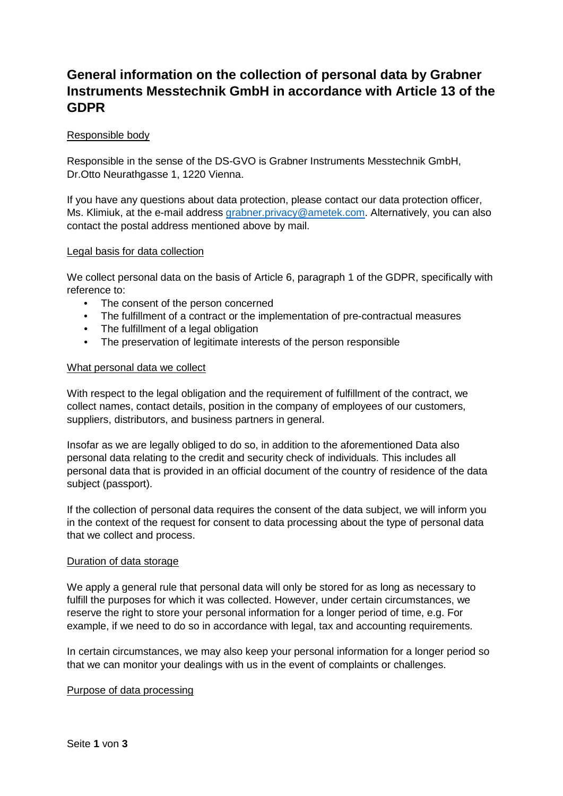# **General information on the collection of personal data by Grabner Instruments Messtechnik GmbH in accordance with Article 13 of the GDPR**

## Responsible body

Responsible in the sense of the DS-GVO is Grabner Instruments Messtechnik GmbH, Dr.Otto Neurathgasse 1, 1220 Vienna.

If you have any questions about data protection, please contact our data protection officer, Ms. Klimiuk, at the e-mail address [grabner.privacy@ametek.com.](mailto:grabner.privacy@ametek.com) Alternatively, you can also contact the postal address mentioned above by mail.

## Legal basis for data collection

We collect personal data on the basis of Article 6, paragraph 1 of the GDPR, specifically with reference to:

- The consent of the person concerned
- The fulfillment of a contract or the implementation of pre-contractual measures
- The fulfillment of a legal obligation
- The preservation of legitimate interests of the person responsible

## What personal data we collect

With respect to the legal obligation and the requirement of fulfillment of the contract, we collect names, contact details, position in the company of employees of our customers, suppliers, distributors, and business partners in general.

Insofar as we are legally obliged to do so, in addition to the aforementioned Data also personal data relating to the credit and security check of individuals. This includes all personal data that is provided in an official document of the country of residence of the data subject (passport).

If the collection of personal data requires the consent of the data subject, we will inform you in the context of the request for consent to data processing about the type of personal data that we collect and process.

#### Duration of data storage

We apply a general rule that personal data will only be stored for as long as necessary to fulfill the purposes for which it was collected. However, under certain circumstances, we reserve the right to store your personal information for a longer period of time, e.g. For example, if we need to do so in accordance with legal, tax and accounting requirements.

In certain circumstances, we may also keep your personal information for a longer period so that we can monitor your dealings with us in the event of complaints or challenges.

#### Purpose of data processing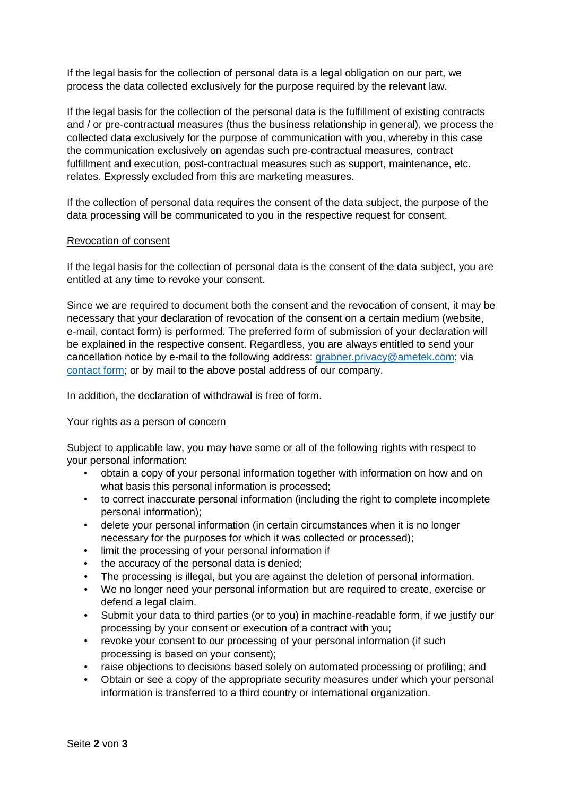If the legal basis for the collection of personal data is a legal obligation on our part, we process the data collected exclusively for the purpose required by the relevant law.

If the legal basis for the collection of the personal data is the fulfillment of existing contracts and / or pre-contractual measures (thus the business relationship in general), we process the collected data exclusively for the purpose of communication with you, whereby in this case the communication exclusively on agendas such pre-contractual measures, contract fulfillment and execution, post-contractual measures such as support, maintenance, etc. relates. Expressly excluded from this are marketing measures.

If the collection of personal data requires the consent of the data subject, the purpose of the data processing will be communicated to you in the respective request for consent.

# Revocation of consent

If the legal basis for the collection of personal data is the consent of the data subject, you are entitled at any time to revoke your consent.

Since we are required to document both the consent and the revocation of consent, it may be necessary that your declaration of revocation of the consent on a certain medium (website, e-mail, contact form) is performed. The preferred form of submission of your declaration will be explained in the respective consent. Regardless, you are always entitled to send your cancellation notice by e-mail to the following address: [grabner.privacy@ametek.com;](mailto:grabner.privacy@ametek.com) via [contact form;](http://www.grabner-instruments.com/PrivacyPolicyForm) or by mail to the above postal address of our company.

In addition, the declaration of withdrawal is free of form.

#### Your rights as a person of concern

Subject to applicable law, you may have some or all of the following rights with respect to your personal information:

- obtain a copy of your personal information together with information on how and on what basis this personal information is processed;
- to correct inaccurate personal information (including the right to complete incomplete personal information);
- delete your personal information (in certain circumstances when it is no longer necessary for the purposes for which it was collected or processed);
- limit the processing of your personal information if
- the accuracy of the personal data is denied;
- The processing is illegal, but you are against the deletion of personal information.
- We no longer need your personal information but are required to create, exercise or defend a legal claim.
- Submit your data to third parties (or to you) in machine-readable form, if we justify our processing by your consent or execution of a contract with you;
- revoke your consent to our processing of your personal information (if such processing is based on your consent);
- raise objections to decisions based solely on automated processing or profiling; and
- Obtain or see a copy of the appropriate security measures under which your personal information is transferred to a third country or international organization.